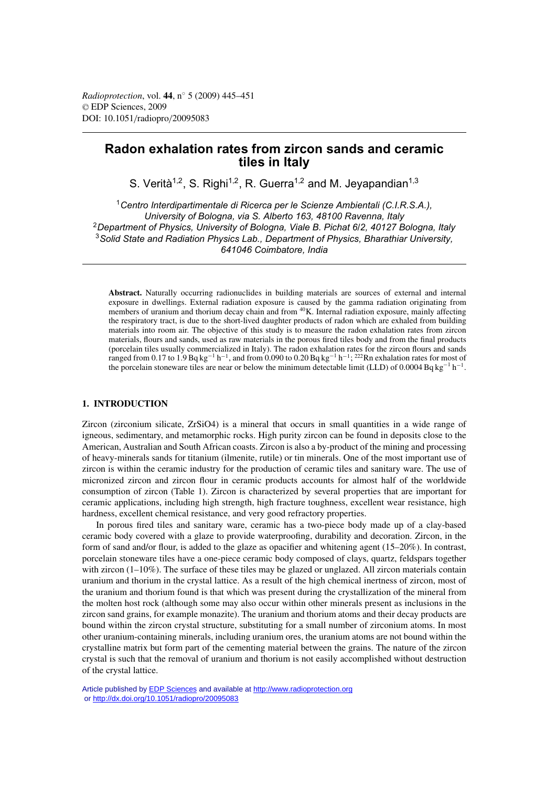*Radioprotection*, vol. **44**, n◦ 5 (2009) 445–451 © EDP Sciences, 2009 DOI: 10.1051/radiopro/20095083

# **Radon exhalation rates from zircon sands and ceramic tiles in Italy**

S. Verità<sup>1,2</sup>, S. Righi<sup>1,2</sup>, R. Guerra<sup>1,2</sup> and M. Jevapandian<sup>1,3</sup>

<sup>1</sup>*Centro Interdipartimentale di Ricerca per le Scienze Ambientali (C.I.R.S.A.), University of Bologna, via S. Alberto 163, 48100 Ravenna, Italy* <sup>2</sup>*Department of Physics, University of Bologna, Viale B. Pichat 6/2, 40127 Bologna, Italy* <sup>3</sup>*Solid State and Radiation Physics Lab., Department of Physics, Bharathiar University, 641046 Coimbatore, India*

**Abstract.** Naturally occurring radionuclides in building materials are sources of external and internal exposure in dwellings. External radiation exposure is caused by the gamma radiation originating from members of uranium and thorium decay chain and from <sup>40</sup>K. Internal radiation exposure, mainly affecting the respiratory tract, is due to the short-lived daughter products of radon which are exhaled from building materials into room air. The objective of this study is to measure the radon exhalation rates from zircon materials, flours and sands, used as raw materials in the porous fired tiles body and from the final products (porcelain tiles usually commercialized in Italy). The radon exhalation rates for the zircon flours and sands ranged from 0.17 to 1.9 Bq kg<sup>-1</sup> h<sup>-1</sup>, and from 0.090 to 0.20 Bq kg<sup>-1</sup> h<sup>-1</sup>; <sup>222</sup>Rn exhalation rates for most of the porcelain stoneware tiles are near or below the minimum detectable limit (LLD) of 0.0004 Bq kg<sup>-1</sup> h<sup>-1</sup>.

# **1. INTRODUCTION**

Zircon (zirconium silicate, ZrSiO4) is a mineral that occurs in small quantities in a wide range of igneous, sedimentary, and metamorphic rocks. High purity zircon can be found in deposits close to the American, Australian and South African coasts. Zircon is also a by-product of the mining and processing of heavy-minerals sands for titanium (ilmenite, rutile) or tin minerals. One of the most important use of zircon is within the ceramic industry for the production of ceramic tiles and sanitary ware. The use of micronized zircon and zircon flour in ceramic products accounts for almost half of the worldwide consumption of zircon (Table 1). Zircon is characterized by several properties that are important for ceramic applications, including high strength, high fracture toughness, excellent wear resistance, high hardness, excellent chemical resistance, and very good refractory properties.

In porous fired tiles and sanitary ware, ceramic has a two-piece body made up of a clay-based ceramic body covered with a glaze to provide waterproofing, durability and decoration. Zircon, in the form of sand and/or flour, is added to the glaze as opacifier and whitening agent (15–20%). In contrast, porcelain stoneware tiles have a one-piece ceramic body composed of clays, quartz, feldspars together with zircon (1–10%). The surface of these tiles may be glazed or unglazed. All zircon materials contain uranium and thorium in the crystal lattice. As a result of the high chemical inertness of zircon, most of the uranium and thorium found is that which was present during the crystallization of the mineral from the molten host rock (although some may also occur within other minerals present as inclusions in the zircon sand grains, for example monazite). The uranium and thorium atoms and their decay products are bound within the zircon crystal structure, substituting for a small number of zirconium atoms. In most other uranium-containing minerals, including uranium ores, the uranium atoms are not bound within the crystalline matrix but form part of the cementing material between the grains. The nature of the zircon crystal is such that the removal of uranium and thorium is not easily accomplished without destruction of the crystal lattice.

Article published by [EDP Sciences](http://www.edpsciences.org) and available at<http://www.radioprotection.org> or <http://dx.doi.org/10.1051/radiopro/20095083>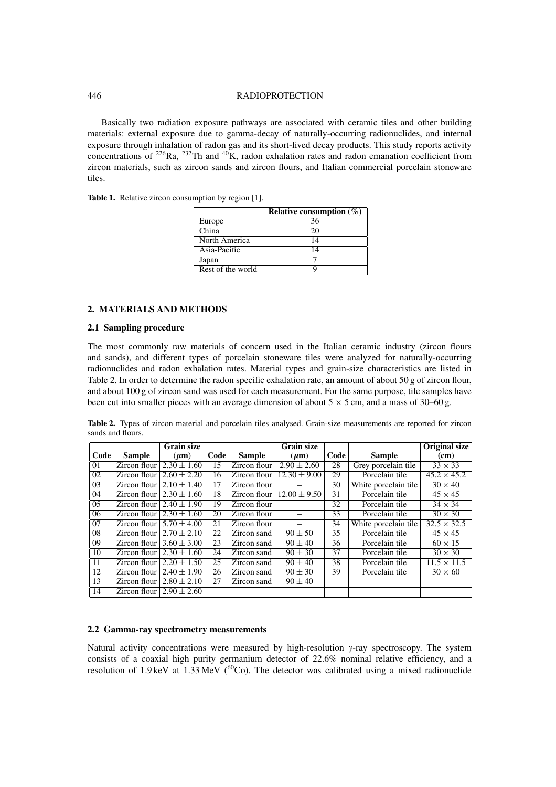# 446 RADIOPROTECTION

Basically two radiation exposure pathways are associated with ceramic tiles and other building materials: external exposure due to gamma-decay of naturally-occurring radionuclides, and internal exposure through inhalation of radon gas and its short-lived decay products. This study reports activity concentrations of  $^{226}Ra$ ,  $^{232}Th$  and  $^{40}K$ , radon exhalation rates and radon emanation coefficient from zircon materials, such as zircon sands and zircon flours, and Italian commercial porcelain stoneware tiles.

**Table 1.** Relative zircon consumption by region [1].

|                   | Relative consumption $(\%)$ |
|-------------------|-----------------------------|
| Europe            | 36                          |
| China             | 20                          |
| North America     | 14                          |
| Asia-Pacific      | 14                          |
| Japan             |                             |
| Rest of the world |                             |

## **2. MATERIALS AND METHODS**

# **2.1 Sampling procedure**

The most commonly raw materials of concern used in the Italian ceramic industry (zircon flours and sands), and different types of porcelain stoneware tiles were analyzed for naturally-occurring radionuclides and radon exhalation rates. Material types and grain-size characteristics are listed in Table 2. In order to determine the radon specific exhalation rate, an amount of about 50 g of zircon flour, and about 100 g of zircon sand was used for each measurement. For the same purpose, tile samples have been cut into smaller pieces with an average dimension of about  $5 \times 5$  cm, and a mass of 30–60 g.

**Table 2.** Types of zircon material and porcelain tiles analysed. Grain-size measurements are reported for zircon sands and flours.

|                 |                              | <b>Grain size</b>                         |      |               | <b>Grain size</b> |      |                      | <b>Original size</b>      |
|-----------------|------------------------------|-------------------------------------------|------|---------------|-------------------|------|----------------------|---------------------------|
| Code            | <b>Sample</b>                | $(\mu m)$                                 | Code | <b>Sample</b> | $(\mu m)$         | Code | <b>Sample</b>        | (cm)                      |
| 01              | Zircon flour $2.30 \pm 1.60$ |                                           | 15   | Zircon flour  | $2.90 \pm 2.60$   | 28   | Grey porcelain tile  | $\overline{33} \times 33$ |
| 02              | Zircon flour $2.60 \pm 2.20$ |                                           | 16   | Zircon flour  | $12.30 \pm 9.00$  | 29   | Porcelain tile       | $45.2 \times 45.2$        |
| 03              | Zircon flour $2.10 \pm 1.40$ |                                           | 17   | Zircon flour  |                   | 30   | White porcelain tile | $30 \times 40$            |
| 04              |                              | Zircon flour $\sqrt{2.30 \pm 1.60}$       | 18   | Zircon flour  | $12.00 \pm 9.50$  | 31   | Porcelain tile       | $45 \times 45$            |
| 0 <sub>5</sub>  |                              | Zircon flour $\left[2.40 \pm 1.90\right]$ | 19   | Zircon flour  |                   | 32   | Porcelain tile       | $34 \times 34$            |
| 06              |                              | Zircon flour $\sqrt{2.30 \pm 1.60}$       | 20   | Zircon flour  |                   | 33   | Porcelain tile       | $\overline{30 \times 30}$ |
| 07              |                              | Zircon flour $5.70 \pm 4.00$              | 21   | Zircon flour  |                   | 34   | White porcelain tile | $32.5 \times 32.5$        |
| 08              |                              | Zircon flour $2.70 \pm 2.10$              | 22   | Zircon sand   | $90 \pm 50$       | 35   | Porcelain tile       | $45 \times 45$            |
| 09              |                              | Zircon flour $3.60 \pm 3.00$              | 23   | Zircon sand   | $90 \pm 40$       | 36   | Porcelain tile       | $60 \times 15$            |
| 10              |                              | Zircon flour $\sqrt{2.30 \pm 1.60}$       | 24   | Zircon sand   | $90 \pm 30$       | 37   | Porcelain tile       | $30 \times 30$            |
| 11              |                              | Zircon flour $\vert 2.20 \pm 1.50 \vert$  | 25   | Zircon sand   | $90 \pm 40$       | 38   | Porcelain tile       | $11.5 \times 11.5$        |
| $\overline{12}$ |                              | Zircon flour $2.40 \pm 1.90$              | 26   | Zircon sand   | $90 \pm 30$       | 39   | Porcelain tile       | $\overline{30} \times 60$ |
| 13              |                              | Zircon flour $2.80 \pm 2.10$              | 27   | Zircon sand   | $90 \pm 40$       |      |                      |                           |
| 14              |                              | Zircon flour $ 2.90 \pm 2.60 $            |      |               |                   |      |                      |                           |

# **2.2 Gamma-ray spectrometry measurements**

Natural activity concentrations were measured by high-resolution  $\gamma$ -ray spectroscopy. The system consists of a coaxial high purity germanium detector of 22.6% nominal relative efficiency, and a resolution of 1.9 keV at 1.33 MeV ( $^{60}$ Co). The detector was calibrated using a mixed radionuclide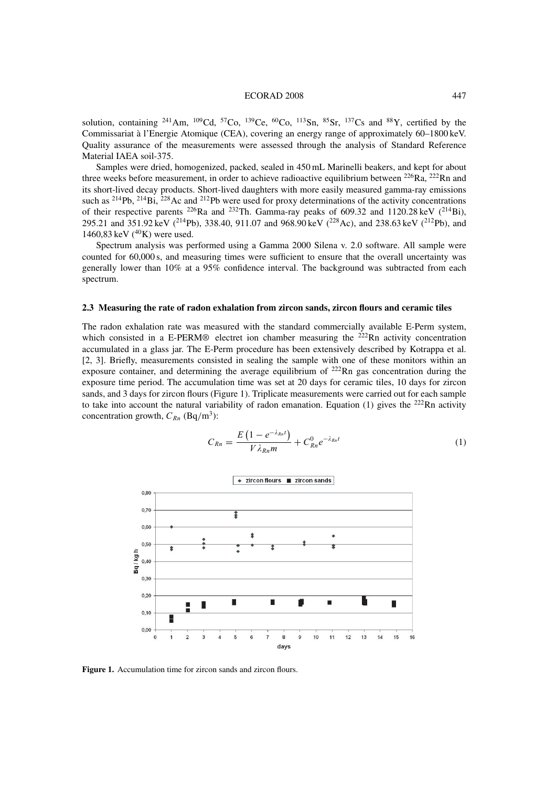#### ECORAD 2008 447

solution, containing  $^{241}$ Am,  $^{109}$ Cd,  $^{57}$ Co,  $^{139}$ Ce,  $^{60}$ Co,  $^{113}$ Sn,  $^{85}$ Sr,  $^{137}$ Cs and  $^{88}$ Y, certified by the Commissariat à l'Energie Atomique (CEA), covering an energy range of approximately 60–1800 keV. Quality assurance of the measurements were assessed through the analysis of Standard Reference Material IAEA soil-375.

Samples were dried, homogenized, packed, sealed in 450 mL Marinelli beakers, and kept for about three weeks before measurement, in order to achieve radioactive equilibrium between  $^{226}Ra$ ,  $^{222}Rn$  and its short-lived decay products. Short-lived daughters with more easily measured gamma-ray emissions such as  $^{214}Pb$ ,  $^{214}Bi$ ,  $^{228}Ac$  and  $^{212}Pb$  were used for proxy determinations of the activity concentrations of their respective parents  $^{226}$ Ra and  $^{232}$ Th. Gamma-ray peaks of 609.32 and 1120.28 keV ( $^{214}$ Bi), 295.21 and 351.92 keV (<sup>214</sup>Pb), 338.40, 911.07 and 968.90 keV (<sup>228</sup>Ac), and 238.63 keV (<sup>212</sup>Pb), and 1460,83 keV ( $^{40}$ K) were used.

Spectrum analysis was performed using a Gamma 2000 Silena v. 2.0 software. All sample were counted for 60,000 s, and measuring times were sufficient to ensure that the overall uncertainty was generally lower than 10% at a 95% confidence interval. The background was subtracted from each spectrum.

### **2.3 Measuring the rate of radon exhalation from zircon sands, zircon flours and ceramic tiles**

The radon exhalation rate was measured with the standard commercially available E-Perm system, which consisted in a E-PERM® electret ion chamber measuring the  $^{222}$ Rn activity concentration accumulated in a glass jar. The E-Perm procedure has been extensively described by Kotrappa et al. [2, 3]. Briefly, measurements consisted in sealing the sample with one of these monitors within an exposure container, and determining the average equilibrium of  $^{222}$ Rn gas concentration during the exposure time period. The accumulation time was set at 20 days for ceramic tiles, 10 days for zircon sands, and 3 days for zircon flours (Figure 1). Triplicate measurements were carried out for each sample to take into account the natural variability of radon emanation. Equation (1) gives the  $^{222}$ Rn activity concentration growth,  $C_{Rn}$  (Bq/m<sup>3</sup>):

$$
C_{Rn} = \frac{E\left(1 - e^{-\lambda_{Rn}t}\right)}{V\lambda_{Rn}m} + C_{Rn}^{0}e^{-\lambda_{Rn}t} \tag{1}
$$



**Figure 1.** Accumulation time for zircon sands and zircon flours.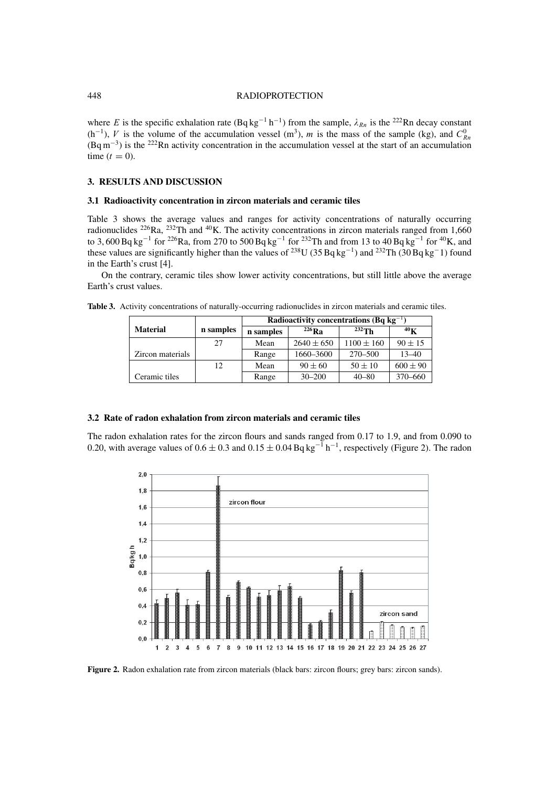## 448 RADIOPROTECTION

where E is the specific exhalation rate  $(Bq kg^{-1} h^{-1})$  from the sample,  $\lambda_{Rn}$  is the <sup>222</sup>Rn decay constant  $(h^{-1})$ , V is the volume of the accumulation vessel (m<sup>3</sup>), m is the mass of the sample (kg), and  $C_{Rn}^{0}$ (Bq m−3) is the 222Rn activity concentration in the accumulation vessel at the start of an accumulation time  $(t = 0)$ .

# **3. RESULTS AND DISCUSSION**

### **3.1 Radioactivity concentration in zircon materials and ceramic tiles**

Table 3 shows the average values and ranges for activity concentrations of naturally occurring radionuclides 226Ra, 232Th and 40K. The activity concentrations in zircon materials ranged from 1,660 to 3, 600 Bq kg<sup>-1</sup> for <sup>226</sup>Ra, from 270 to 500 Bq kg<sup>-1</sup> for <sup>232</sup>Th and from 13 to 40 Bq kg<sup>-1</sup> for <sup>40</sup>K, and these values are significantly higher than the values of <sup>238</sup>U (35 Bq kg<sup>-1</sup>) and <sup>232</sup>Th (30 Bq kg<sup>-1</sup>) found in the Earth's crust [4].

On the contrary, ceramic tiles show lower activity concentrations, but still little above the average Earth's crust values.

|                  |           | Radioactivity concentrations (Bq $kg^{-1}$ ) |                |                |                 |  |
|------------------|-----------|----------------------------------------------|----------------|----------------|-----------------|--|
| <b>Material</b>  | n samples | n samples                                    | $^{226}Ra$     | $232$ Th       | 40 <sub>K</sub> |  |
|                  | 27        | Mean                                         | $2640 \pm 650$ | $1100 \pm 160$ | $90 \pm 15$     |  |
| Zircon materials |           | Range                                        | 1660-3600      | 270-500        | $13 - 40$       |  |
|                  | 12        | Mean                                         | $90 \pm 60$    | $50 \pm 10$    | $600 \pm 90$    |  |
| Ceramic tiles    |           | Range                                        | $30 - 200$     | $40 - 80$      | 370-660         |  |

**Table 3.** Activity concentrations of naturally-occurring radionuclides in zircon materials and ceramic tiles.

# **3.2 Rate of radon exhalation from zircon materials and ceramic tiles**

The radon exhalation rates for the zircon flours and sands ranged from 0.17 to 1.9, and from 0.090 to 0.20, with average values of  $0.6 \pm 0.3$  and  $0.15 \pm 0.04$  Bq kg<sup>-1</sup> h<sup>-1</sup>, respectively (Figure 2). The radon



**Figure 2.** Radon exhalation rate from zircon materials (black bars: zircon flours; grey bars: zircon sands).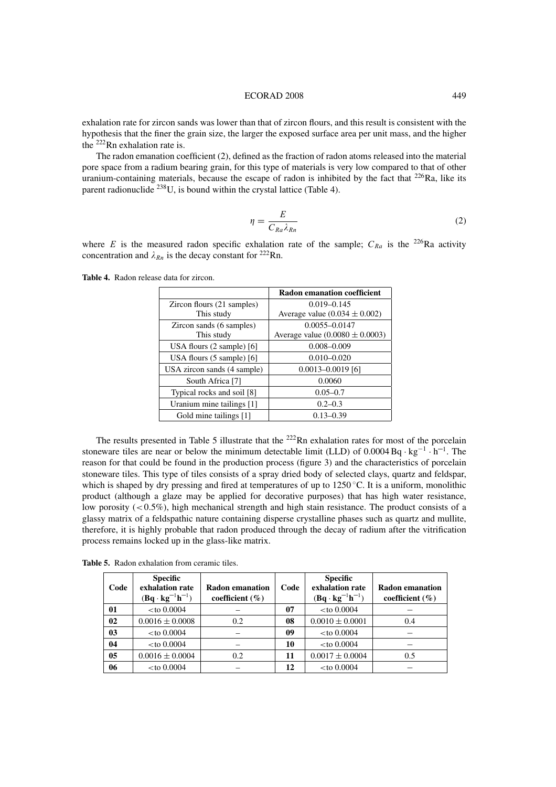#### ECORAD 2008 449

exhalation rate for zircon sands was lower than that of zircon flours, and this result is consistent with the hypothesis that the finer the grain size, the larger the exposed surface area per unit mass, and the higher the 222Rn exhalation rate is.

The radon emanation coefficient (2), defined as the fraction of radon atoms released into the material pore space from a radium bearing grain, for this type of materials is very low compared to that of other uranium-containing materials, because the escape of radon is inhibited by the fact that <sup>226</sup>Ra, like its parent radionuclide <sup>238</sup>U, is bound within the crystal lattice (Table 4).

$$
\eta = \frac{E}{C_{Ra}\lambda_{Rn}}\tag{2}
$$

where E is the measured radon specific exhalation rate of the sample;  $C_{Ra}$  is the <sup>226</sup>Ra activity concentration and  $\lambda_{Rn}$  is the decay constant for <sup>222</sup>Rn.

|                                     | <b>Radon emanation coefficient</b>  |
|-------------------------------------|-------------------------------------|
| Zircon flours (21 samples)          | $0.019 - 0.145$                     |
| This study                          | Average value $(0.034 \pm 0.002)$   |
| Zircon sands (6 samples)            | $0.0055 - 0.0147$                   |
| This study                          | Average value $(0.0080 \pm 0.0003)$ |
| USA flours $(2 \text{ sample})$ [6] | $0.008 - 0.009$                     |
| USA flours $(5 \text{ sample})$ [6] | $0.010 - 0.020$                     |
| USA zircon sands (4 sample)         | $0.0013 - 0.0019$ [6]               |
| South Africa [7]                    | 0.0060                              |
| Typical rocks and soil [8]          | $0.05 - 0.7$                        |
| Uranium mine tailings [1]           | $0.2 - 0.3$                         |
| Gold mine tailings [1]              | $0.13 - 0.39$                       |

**Table 4.** Radon release data for zircon.

The results presented in Table 5 illustrate that the <sup>222</sup>Rn exhalation rates for most of the porcelain stoneware tiles are near or below the minimum detectable limit (LLD) of 0.0004 Bq · kg<sup>-1</sup> · h<sup>-1</sup>. The reason for that could be found in the production process (figure 3) and the characteristics of porcelain stoneware tiles. This type of tiles consists of a spray dried body of selected clays, quartz and feldspar, which is shaped by dry pressing and fired at temperatures of up to  $1250^{\circ}$ C. It is a uniform, monolithic product (although a glaze may be applied for decorative purposes) that has high water resistance, low porosity  $(< 0.5\%)$ , high mechanical strength and high stain resistance. The product consists of a glassy matrix of a feldspathic nature containing disperse crystalline phases such as quartz and mullite, therefore, it is highly probable that radon produced through the decay of radium after the vitrification process remains locked up in the glass-like matrix.

| Code | <b>Specific</b><br>exhalation rate<br>$(Bq \cdot kg^{-1}h^{-1})$ | Radon emanation<br>coefficient $(\% )$ | Code | <b>Specific</b><br>exhalation rate<br>$(Bq \cdot kg^{-1}h^{-1})$ | <b>Radon</b> emanation<br>coefficient $(\% )$ |
|------|------------------------------------------------------------------|----------------------------------------|------|------------------------------------------------------------------|-----------------------------------------------|
| 01   | $<$ to 0.0004                                                    |                                        | 07   | $<$ to 0.0004                                                    |                                               |
| 02   | $0.0016 \pm 0.0008$                                              | 0.2                                    | 08   | $0.0010 \pm 0.0001$                                              | 0.4                                           |
| 03   | $<$ to 0.0004                                                    |                                        | 09   | $<$ to 0.0004                                                    |                                               |
| 04   | $<$ to 0.0004                                                    |                                        | 10   | $<$ to 0.0004                                                    |                                               |
| 05   | $0.0016 \pm 0.0004$                                              | 0.2                                    | 11   | $0.0017 \pm 0.0004$                                              | 0.5                                           |
| 06   | $<$ to 0.0004                                                    |                                        | 12   | $<$ to 0.0004                                                    |                                               |

**Table 5.** Radon exhalation from ceramic tiles.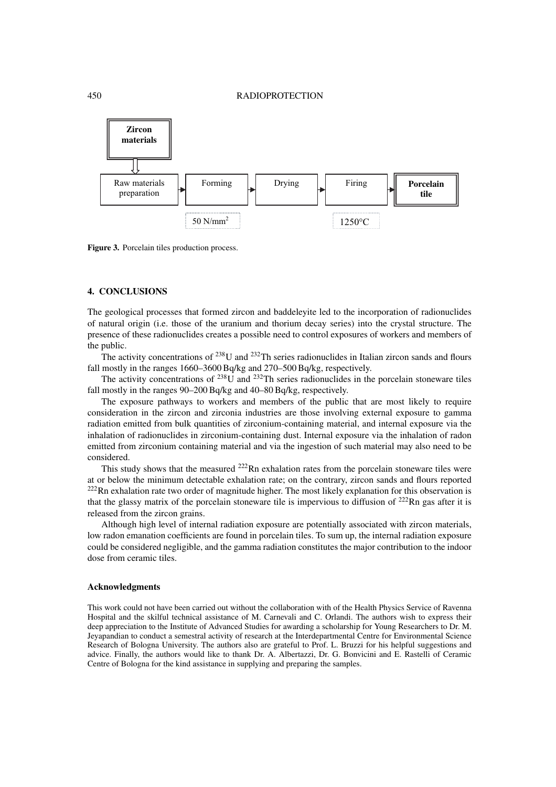#### 450 RADIOPROTECTION



**Figure 3.** Porcelain tiles production process.

# **4. CONCLUSIONS**

The geological processes that formed zircon and baddeleyite led to the incorporation of radionuclides of natural origin (i.e. those of the uranium and thorium decay series) into the crystal structure. The presence of these radionuclides creates a possible need to control exposures of workers and members of the public.

The activity concentrations of <sup>238</sup>U and <sup>232</sup>Th series radionuclides in Italian zircon sands and flours fall mostly in the ranges 1660–3600 Bq/kg and 270–500 Bq/kg, respectively.

The activity concentrations of  $^{238}$ U and  $^{232}$ Th series radionuclides in the porcelain stoneware tiles fall mostly in the ranges 90–200 Bq/kg and 40–80 Bq/kg, respectively.

The exposure pathways to workers and members of the public that are most likely to require consideration in the zircon and zirconia industries are those involving external exposure to gamma radiation emitted from bulk quantities of zirconium-containing material, and internal exposure via the inhalation of radionuclides in zirconium-containing dust. Internal exposure via the inhalation of radon emitted from zirconium containing material and via the ingestion of such material may also need to be considered.

This study shows that the measured  $^{222}$ Rn exhalation rates from the porcelain stoneware tiles were at or below the minimum detectable exhalation rate; on the contrary, zircon sands and flours reported  $222$ Rn exhalation rate two order of magnitude higher. The most likely explanation for this observation is that the glassy matrix of the porcelain stoneware tile is impervious to diffusion of  $222$ Rn gas after it is released from the zircon grains.

Although high level of internal radiation exposure are potentially associated with zircon materials, low radon emanation coefficients are found in porcelain tiles. To sum up, the internal radiation exposure could be considered negligible, and the gamma radiation constitutes the major contribution to the indoor dose from ceramic tiles.

## **Acknowledgments**

This work could not have been carried out without the collaboration with of the Health Physics Service of Ravenna Hospital and the skilful technical assistance of M. Carnevali and C. Orlandi. The authors wish to express their deep appreciation to the Institute of Advanced Studies for awarding a scholarship for Young Researchers to Dr. M. Jeyapandian to conduct a semestral activity of research at the Interdepartmental Centre for Environmental Science Research of Bologna University. The authors also are grateful to Prof. L. Bruzzi for his helpful suggestions and advice. Finally, the authors would like to thank Dr. A. Albertazzi, Dr. G. Bonvicini and E. Rastelli of Ceramic Centre of Bologna for the kind assistance in supplying and preparing the samples.